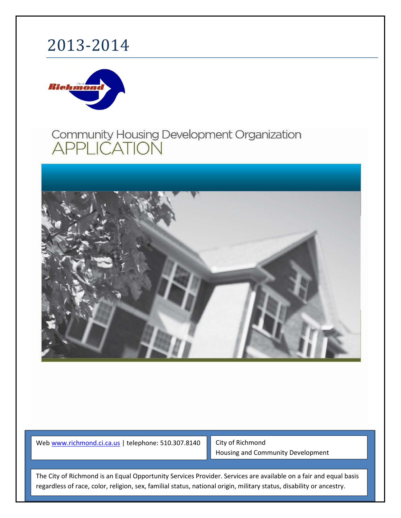# 2013-2014



## Community Housing Development Organization **APPLICATION**



We[b www.richmond.ci.ca.us](http://www.richmond.ci.ca.us/) | telephone: 510.307.8140

City of Richmond Housing and Community Development

Page **1** of **25** regardless of race, color, religion, sex, familial status, national origin, military status, disability or ancestry. The City of Richmond is an Equal Opportunity Services Provider. Services are available on a fair and equal basis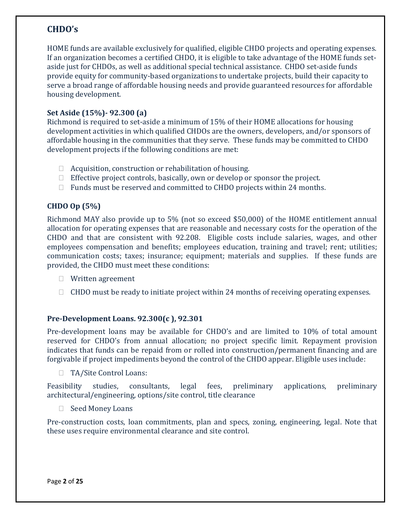### **CHDO's**

HOME funds are available exclusively for qualified, eligible CHDO projects and operating expenses. If an organization becomes a certified CHDO, it is eligible to take advantage of the HOME funds setaside just for CHDOs, as well as additional special technical assistance. CHDO set-aside funds provide equity for community-based organizations to undertake projects, build their capacity to serve a broad range of affordable housing needs and provide guaranteed resources for affordable housing development.

#### **Set Aside (15%)- 92.300 (a)**

Richmond is required to set-aside a minimum of 15% of their HOME allocations for housing development activities in which qualified CHDOs are the owners, developers, and/or sponsors of affordable housing in the communities that they serve. These funds may be committed to CHDO development projects if the following conditions are met:

- $\Box$  Acquisition, construction or rehabilitation of housing.
- $\Box$  Effective project controls, basically, own or develop or sponsor the project.
- $\Box$  Funds must be reserved and committed to CHDO projects within 24 months.

### **CHDO Op (5%)**

Richmond MAY also provide up to 5% (not so exceed \$50,000) of the HOME entitlement annual allocation for operating expenses that are reasonable and necessary costs for the operation of the CHDO and that are consistent with 92.208. Eligible costs include salaries, wages, and other employees compensation and benefits; employees education, training and travel; rent; utilities; communication costs; taxes; insurance; equipment; materials and supplies. If these funds are provided, the CHDO must meet these conditions:

- □ Written agreement
- $\Box$  CHDO must be ready to initiate project within 24 months of receiving operating expenses.

#### **Pre-Development Loans. 92.300(c ), 92.301**

Pre-development loans may be available for CHDO's and are limited to 10% of total amount reserved for CHDO's from annual allocation; no project specific limit. Repayment provision indicates that funds can be repaid from or rolled into construction/permanent financing and are forgivable if project impediments beyond the control of the CHDO appear. Eligible uses include:

□ TA/Site Control Loans:

Feasibility studies, consultants, legal fees, preliminary applications, preliminary architectural/engineering, options/site control, title clearance

□ Seed Money Loans

Pre-construction costs, loan commitments, plan and specs, zoning, engineering, legal. Note that these uses require environmental clearance and site control.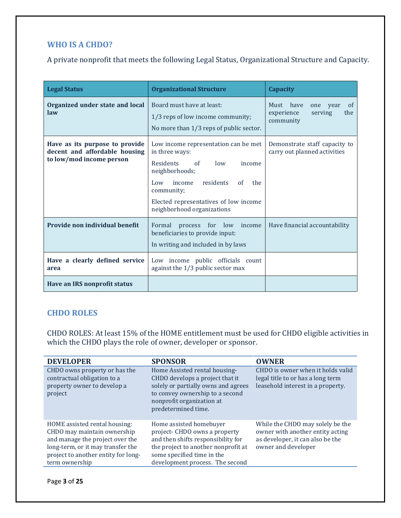### **WHO IS A CHDO?**

A private nonprofit that meets the following Legal Status, Organizational Structure and Capacity.

| <b>Legal Status</b>                                                                         | <b>Organizational Structure</b>                                                                                                                                                                                                                             | <b>Capacity</b>                                                                           |
|---------------------------------------------------------------------------------------------|-------------------------------------------------------------------------------------------------------------------------------------------------------------------------------------------------------------------------------------------------------------|-------------------------------------------------------------------------------------------|
| Organized under state and local<br>law                                                      | Board must have at least:<br>1/3 reps of low income community;<br>No more than 1/3 reps of public sector.                                                                                                                                                   | have<br>Must<br>one<br><sub>of</sub><br>vear<br>experience<br>serving<br>the<br>community |
| Have as its purpose to provide<br>decent and affordable housing<br>to low/mod income person | Low income representation can be met<br>in three ways:<br><b>Residents</b><br>$\alpha$ f<br>low<br>income<br>neighborhoods;<br>income<br>residents<br>the<br>Low<br>of<br>community;<br>Elected representatives of low income<br>neighborhood organizations | Demonstrate staff capacity to<br>carry out planned activities                             |
| Provide non individual benefit                                                              | process for low income<br>Formal<br>beneficiaries to provide input:<br>In writing and included in by laws                                                                                                                                                   | Have financial accountability                                                             |
| Have a clearly defined service<br>area                                                      | Low income public officials count<br>against the 1/3 public sector max                                                                                                                                                                                      |                                                                                           |
| Have an IRS nonprofit status                                                                |                                                                                                                                                                                                                                                             |                                                                                           |

### **CHDO ROLES**

CHDO ROLES: At least 15% of the HOME entitlement must be used for CHDO eligible activities in which the CHDO plays the role of owner, developer or sponsor.

| <b>DEVELOPER</b>                                                                                                                                                                              | <b>SPONSOR</b>                                                                                                                                                                                         | <b>OWNER</b>                                                                                                                    |
|-----------------------------------------------------------------------------------------------------------------------------------------------------------------------------------------------|--------------------------------------------------------------------------------------------------------------------------------------------------------------------------------------------------------|---------------------------------------------------------------------------------------------------------------------------------|
| CHDO owns property or has the<br>contractual obligation to a<br>property owner to develop a<br>project                                                                                        | Home Assisted rental housing-<br>CHDO develops a project that it<br>solely or partially owns and agrees<br>to convey ownership to a second<br>nonprofit organization at<br>predetermined time.         | CHDO is owner when it holds valid<br>legal title to or has a long term<br>leasehold interest in a property.                     |
| HOME assisted rental housing:<br>CHDO may maintain ownership<br>and manage the project over the<br>long-term, or it may transfer the<br>project to another entity for long-<br>term ownership | Home assisted homebuyer<br>project- CHDO owns a property<br>and then shifts responsibility for<br>the project to another nonprofit at<br>some specified time in the<br>development process. The second | While the CHDO may solely be the<br>owner with another entity acting<br>as developer, it can also be the<br>owner and developer |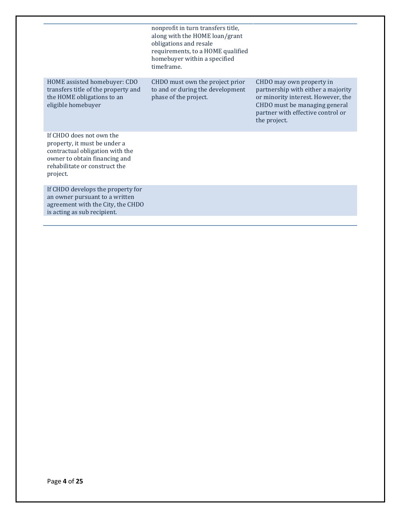|                                                                                                                                                                           | nonprofit in turn transfers title,<br>along with the HOME loan/grant<br>obligations and resale<br>requirements, to a HOME qualified<br>homebuyer within a specified<br>timeframe. |                                                                                                                                                                                            |
|---------------------------------------------------------------------------------------------------------------------------------------------------------------------------|-----------------------------------------------------------------------------------------------------------------------------------------------------------------------------------|--------------------------------------------------------------------------------------------------------------------------------------------------------------------------------------------|
| HOME assisted homebuyer: CDO<br>transfers title of the property and<br>the HOME obligations to an<br>eligible homebuyer                                                   | CHDO must own the project prior<br>to and or during the development<br>phase of the project.                                                                                      | CHDO may own property in<br>partnership with either a majority<br>or minority interest. However, the<br>CHDO must be managing general<br>partner with effective control or<br>the project. |
| If CHDO does not own the<br>property, it must be under a<br>contractual obligation with the<br>owner to obtain financing and<br>rehabilitate or construct the<br>project. |                                                                                                                                                                                   |                                                                                                                                                                                            |
| If CHDO develops the property for<br>an owner pursuant to a written<br>agreement with the City, the CHDO<br>is acting as sub recipient.                                   |                                                                                                                                                                                   |                                                                                                                                                                                            |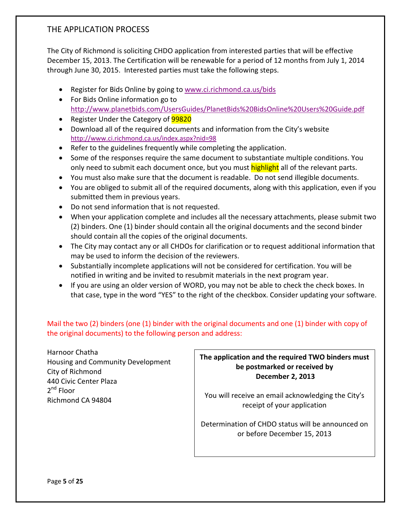### THE APPLICATION PROCESS

The City of Richmond is soliciting CHDO application from interested parties that will be effective December 15, 2013. The Certification will be renewable for a period of 12 months from July 1, 2014 through June 30, 2015. Interested parties must take the following steps.

- Register for Bids Online by going to [www.ci.richmond.ca.us/bids](http://www.ci.richmond.ca.us/bids)
- For Bids Online information go to <http://www.planetbids.com/UsersGuides/PlanetBids%20BidsOnline%20Users%20Guide.pdf>
- Register Under the Category of **99820**
- Download all of the required documents and information from the City's website <http://www.ci.richmond.ca.us/index.aspx?nid=98>
- Refer to the guidelines frequently while completing the application.
- Some of the responses require the same document to substantiate multiple conditions. You only need to submit each document once, but you must highlight all of the relevant parts.
- You must also make sure that the document is readable. Do not send illegible documents.
- You are obliged to submit all of the required documents, along with this application, even if you submitted them in previous years.
- Do not send information that is not requested.
- When your application complete and includes all the necessary attachments, please submit two (2) binders. One (1) binder should contain all the original documents and the second binder should contain all the copies of the original documents.
- The City may contact any or all CHDOs for clarification or to request additional information that may be used to inform the decision of the reviewers.
- Substantially incomplete applications will not be considered for certification. You will be notified in writing and be invited to resubmit materials in the next program year.
- If you are using an older version of WORD, you may not be able to check the check boxes. In that case, type in the word "YES" to the right of the checkbox. Consider updating your software.

Mail the two (2) binders (one (1) binder with the original documents and one (1) binder with copy of the original documents) to the following person and address:

Harnoor Chatha Housing and Community Development City of Richmond 440 Civic Center Plaza 2<sup>nd</sup> Floor Richmond CA 94804

**The application and the required TWO binders must be postmarked or received by December 2, 2013**

You will receive an email acknowledging the City's receipt of your application

Determination of CHDO status will be announced on or before December 15, 2013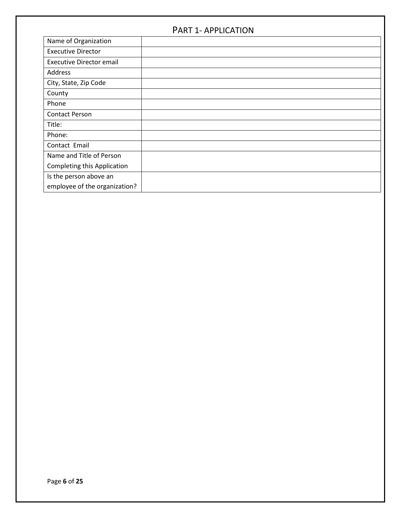### PART 1- APPLICATION

| Name of Organization            |  |
|---------------------------------|--|
| <b>Executive Director</b>       |  |
| <b>Executive Director email</b> |  |
| Address                         |  |
| City, State, Zip Code           |  |
| County                          |  |
| Phone                           |  |
| <b>Contact Person</b>           |  |
| Title:                          |  |
| Phone:                          |  |
| Contact Email                   |  |
| Name and Title of Person        |  |
| Completing this Application     |  |
| Is the person above an          |  |
| employee of the organization?   |  |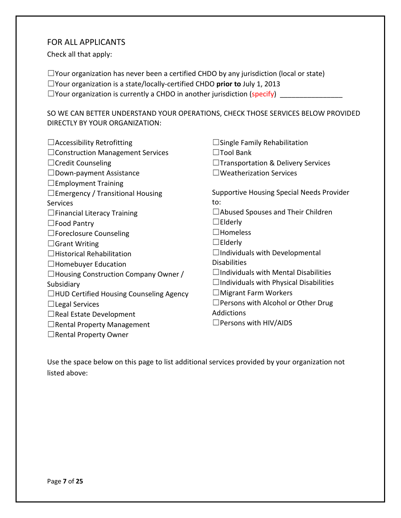#### FOR ALL APPLICANTS

Check all that apply:

☐Your organization has never been a certified CHDO by any jurisdiction (local or state)

☐Your organization is a state/locally-certified CHDO **prior to** July 1, 2013

 $\Box$  Your organization is currently a CHDO in another jurisdiction (specify)

SO WE CAN BETTER UNDERSTAND YOUR OPERATIONS, CHECK THOSE SERVICES BELOW PROVIDED DIRECTLY BY YOUR ORGANIZATION:

| $\Box$ Accessibility Retrofitting              | $\Box$ Single Family Rehabilitation              |
|------------------------------------------------|--------------------------------------------------|
| $\Box$ Construction Management Services        | $\Box$ Tool Bank                                 |
| $\Box$ Credit Counseling                       | $\Box$ Transportation & Delivery Services        |
| $\Box$ Down-payment Assistance                 | $\Box$ Weatherization Services                   |
| $\Box$ Employment Training                     |                                                  |
| $\Box$ Emergency / Transitional Housing        | <b>Supportive Housing Special Needs Provider</b> |
| <b>Services</b>                                | to:                                              |
| $\Box$ Financial Literacy Training             | $\Box$ Abused Spouses and Their Children         |
| $\square$ Food Pantry                          | $\Box$ Elderly                                   |
| $\Box$ Foreclosure Counseling                  | $\square$ Homeless                               |
| $\Box$ Grant Writing                           | $\Box$ Elderly                                   |
| $\Box$ Historical Rehabilitation               | $\Box$ Individuals with Developmental            |
| $\Box$ Homebuyer Education                     | <b>Disabilities</b>                              |
| $\Box$ Housing Construction Company Owner /    | $\Box$ Individuals with Mental Disabilities      |
| Subsidiary                                     | $\Box$ Individuals with Physical Disabilities    |
| $\Box$ HUD Certified Housing Counseling Agency | $\Box$ Migrant Farm Workers                      |
| $\Box$ Legal Services                          | $\Box$ Persons with Alcohol or Other Drug        |
| $\Box$ Real Estate Development                 | Addictions                                       |
| $\Box$ Rental Property Management              | $\Box$ Persons with HIV/AIDS                     |
| $\Box$ Rental Property Owner                   |                                                  |

Use the space below on this page to list additional services provided by your organization not listed above: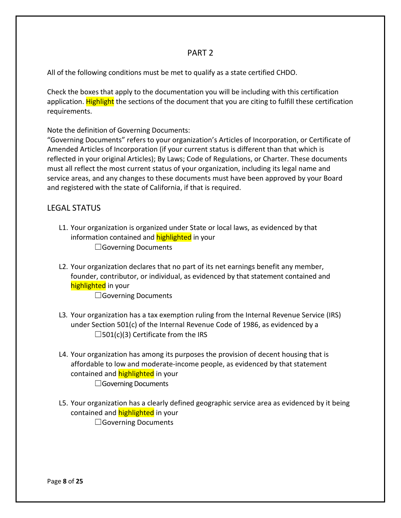#### PART 2

All of the following conditions must be met to qualify as a state certified CHDO.

Check the boxes that apply to the documentation you will be including with this certification application. Highlight the sections of the document that you are citing to fulfill these certification requirements.

Note the definition of Governing Documents:

"Governing Documents" refers to your organization's Articles of Incorporation, or Certificate of Amended Articles of Incorporation (if your current status is different than that which is reflected in your original Articles); By Laws; Code of Regulations, or Charter. These documents must all reflect the most current status of your organization, including its legal name and service areas, and any changes to these documents must have been approved by your Board and registered with the state of California, if that is required.

### LEGAL STATUS

- L1. Your organization is organized under State or local laws, as evidenced by that information contained and **highlighted** in your □Governing Documents
- L2. Your organization declares that no part of its net earnings benefit any member, founder, contributor, or individual, as evidenced by that statement contained and highlighted in your

□Governing Documents

- L3. Your organization has a tax exemption ruling from the Internal Revenue Service (IRS) under Section 501(c) of the Internal Revenue Code of 1986, as evidenced by a  $\square$ 501(c)(3) Certificate from the IRS
- L4. Your organization has among its purposes the provision of decent housing that is affordable to low and moderate-income people, as evidenced by that statement contained and **highlighted** in your □Governing Documents
- L5. Your organization has a clearly defined geographic service area as evidenced by it being contained and **highlighted** in your □Governing Documents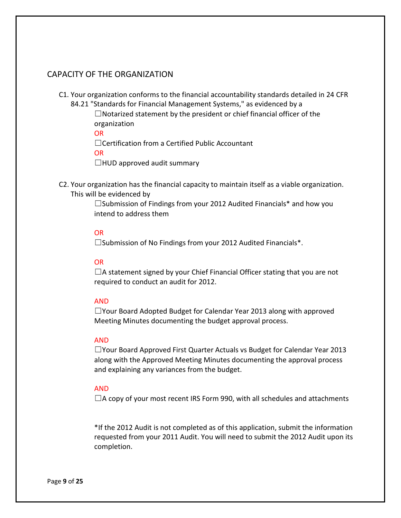### CAPACITY OF THE ORGANIZATION

C1. Your organization conforms to the financial accountability standards detailed in 24 CFR 84.21 "Standards for Financial Management Systems," as evidenced by a

> ☐Notarized statement by the president or chief financial officer of the organization

OR

☐Certification from a Certified Public Accountant

OR

 $\Box$ HUD approved audit summary

C2. Your organization has the financial capacity to maintain itself as a viable organization. This will be evidenced by

> ☐Submission of Findings from your 2012 Audited Financials\* and how you intend to address them

#### OR

☐Submission of No Findings from your 2012 Audited Financials\*.

#### OR

 $\Box$ A statement signed by your Chief Financial Officer stating that you are not required to conduct an audit for 2012.

#### AND

☐Your Board Adopted Budget for Calendar Year 2013 along with approved Meeting Minutes documenting the budget approval process.

#### AND

☐Your Board Approved First Quarter Actuals vs Budget for Calendar Year 2013 along with the Approved Meeting Minutes documenting the approval process and explaining any variances from the budget.

#### AND

 $\Box$ A copy of your most recent IRS Form 990, with all schedules and attachments

\*If the 2012 Audit is not completed as of this application, submit the information requested from your 2011 Audit. You will need to submit the 2012 Audit upon its completion.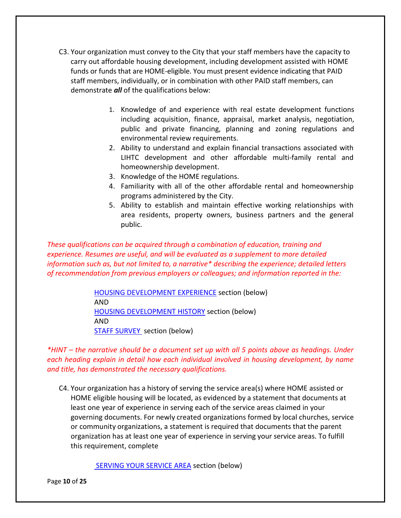- C3. Your organization must convey to the City that your staff members have the capacity to carry out affordable housing development, including development assisted with HOME funds or funds that are HOME-eligible. You must present evidence indicating that PAID staff members, individually, or in combination with other PAID staff members, can demonstrate *all* of the qualifications below:
	- 1. Knowledge of and experience with real estate development functions including acquisition, finance, appraisal, market analysis, negotiation, public and private financing, planning and zoning regulations and environmental review requirements.
	- 2. Ability to understand and explain financial transactions associated with LIHTC development and other affordable multi-family rental and homeownership development.
	- 3. Knowledge of the HOME regulations.
	- 4. Familiarity with all of the other affordable rental and homeownership programs administered by the City.
	- 5. Ability to establish and maintain effective working relationships with area residents, property owners, business partners and the general public.

*These qualifications can be acquired through a combination of education, training and experience. Resumes are useful, and will be evaluated as a supplement to more detailed information such as, but not limited to, a narrative\* describing the experience; detailed letters of recommendation from previous employers or colleagues; and information reported in the:*

> [HOUSING DEVELOPMENT EXPERIENCE](#page-18-0) section (below) AND [HOUSING DEVELOPMENT HISTORY](#page-16-0) section (below) AND **STAFF SURVEY** section (below)

*\*HINT – the narrative should be a document set up with all 5 points above as headings. Under each heading explain in detail how each individual involved in housing development, by name and title, has demonstrated the necessary qualifications.*

C4. Your organization has a history of serving the service area(s) where HOME assisted or HOME eligible housing will be located, as evidenced by a statement that documents at least one year of experience in serving each of the service areas claimed in your governing documents. For newly created organizations formed by local churches, service or community organizations, a statement is required that documents that the parent organization has at least one year of experience in serving your service areas. To fulfill this requirement, complete

[SERVING YOUR SERVICE AREA](#page-14-0) section (below)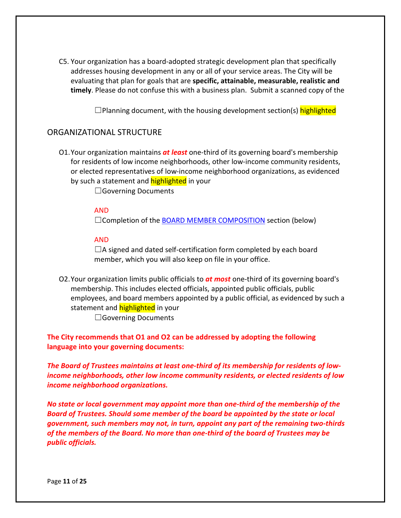C5. Your organization has a board-adopted strategic development plan that specifically addresses housing development in any or all of your service areas. The City will be evaluating that plan for goals that are **specific, attainable, measurable, realistic and timely**. Please do not confuse this with a business plan. Submit a scanned copy of the

 $\square$ Planning document, with the housing development section(s) highlighted

#### ORGANIZATIONAL STRUCTURE

O1.Your organization maintains *at least* one-third of its governing board's membership for residents of low income neighborhoods, other low-income community residents, or elected representatives of low-income neighborhood organizations, as evidenced by such a statement and **highlighted** in your

□Governing Documents

#### AND

□Completion of the [BOARD MEMBER COMPOSITION](#page-19-1) section (below)

#### AND

 $\Box$ A signed and dated self-certification form completed by each board member, which you will also keep on file in your office.

O2.Your organization limits public officials to *at most* one-third of its governing board's membership. This includes elected officials, appointed public officials, public employees, and board members appointed by a public official, as evidenced by such a statement and **highlighted** in your

□Governing Documents

**The City recommends that O1 and O2 can be addressed by adopting the following language into your governing documents:**

*The Board of Trustees maintains at least one-third of its membership for residents of lowincome neighborhoods, other low income community residents, or elected residents of low income neighborhood organizations.*

*No state or local government may appoint more than one-third of the membership of the Board of Trustees. Should some member of the board be appointed by the state or local government, such members may not, in turn, appoint any part of the remaining two-thirds of the members of the Board. No more than one-third of the board of Trustees may be public officials.*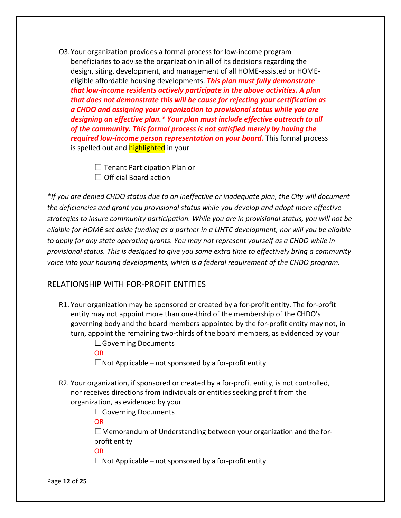O3.Your organization provides a formal process for low-income program beneficiaries to advise the organization in all of its decisions regarding the design, siting, development, and management of all HOME-assisted or HOMEeligible affordable housing developments. *This plan must fully demonstrate that low-income residents actively participate in the above activities. A plan that does not demonstrate this will be cause for rejecting your certification as a CHDO and assigning your organization to provisional status while you are designing an effective plan.\* Your plan must include effective outreach to all of the community. This formal process is not satisfied merely by having the required low-income person representation on your board.* This formal process is spelled out and **highlighted** in your

> $\Box$  Tenant Participation Plan or  $\Box$  Official Board action

*\*If you are denied CHDO status due to an ineffective or inadequate plan, the City will document the deficiencies and grant you provisional status while you develop and adopt more effective strategies to insure community participation. While you are in provisional status, you will not be eligible for HOME set aside funding as a partner in a LIHTC development, nor will you be eligible to apply for any state operating grants. You may not represent yourself as a CHDO while in provisional status. This is designed to give you some extra time to effectively bring a community voice into your housing developments, which is a federal requirement of the CHDO program.*

#### RELATIONSHIP WITH FOR-PROFIT ENTITIES

R1. Your organization may be sponsored or created by a for-profit entity. The for-profit entity may not appoint more than one-third of the membership of the CHDO's governing body and the board members appointed by the for-profit entity may not, in turn, appoint the remaining two-thirds of the board members, as evidenced by your □Governing Documents

OR

 $\Box$ Not Applicable – not sponsored by a for-profit entity

R2. Your organization, if sponsored or created by a for-profit entity, is not controlled, nor receives directions from individuals or entities seeking profit from the organization, as evidenced by your

□Governing Documents

OR

 $\Box$ Memorandum of Understanding between your organization and the forprofit entity

OR

 $\Box$ Not Applicable – not sponsored by a for-profit entity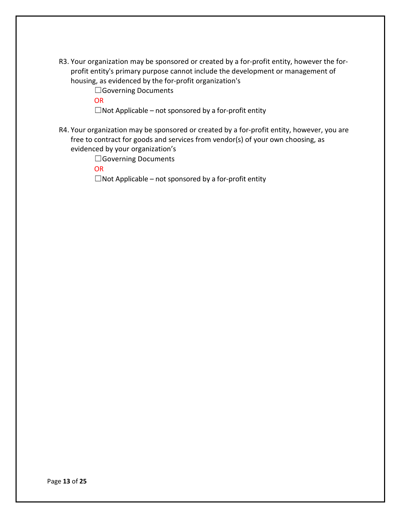- R3. Your organization may be sponsored or created by a for-profit entity, however the forprofit entity's primary purpose cannot include the development or management of housing, as evidenced by the for-profit organization's
	- □Governing Documents
	- OR
	- $\Box$ Not Applicable not sponsored by a for-profit entity
- R4. Your organization may be sponsored or created by a for-profit entity, however, you are free to contract for goods and services from vendor(s) of your own choosing, as evidenced by your organization's
	- ☐Governing Documents
	- **OR**

 $\Box$ Not Applicable – not sponsored by a for-profit entity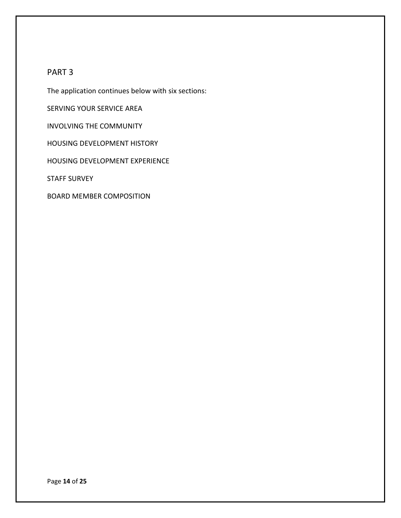#### PART 3

The application continues below with six sections:

SERVING YOUR SERVICE AREA

INVOLVING THE COMMUNITY

HOUSING DEVELOPMENT HISTORY

HOUSING DEVELOPMENT EXPERIENCE

STAFF SURVEY

BOARD MEMBER COMPOSITION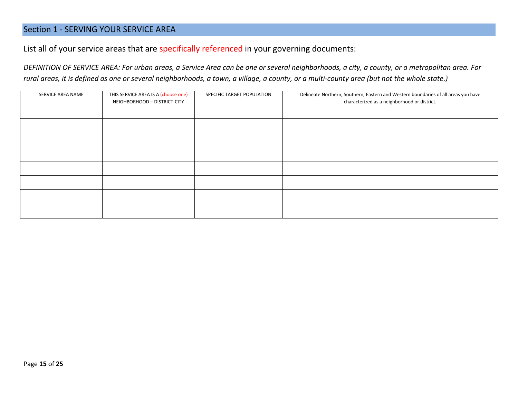### Section 1 - SERVING YOUR SERVICE AREA

List all of your service areas that are specifically referenced in your governing documents:

*DEFINITION OF SERVICE AREA: For urban areas, a Service Area can be one or several neighborhoods, a city, a county, or a metropolitan area. For rural areas, it is defined as one or several neighborhoods, a town, a village, a county, or a multi-county area (but not the whole state.)*

<span id="page-14-0"></span>

| SERVICE AREA NAME | THIS SERVICE AREA IS A (choose one)<br>NEIGHBORHOOD - DISTRICT-CITY | SPECIFIC TARGET POPULATION | Delineate Northern, Southern, Eastern and Western boundaries of all areas you have<br>characterized as a neighborhood or district. |
|-------------------|---------------------------------------------------------------------|----------------------------|------------------------------------------------------------------------------------------------------------------------------------|
|                   |                                                                     |                            |                                                                                                                                    |
|                   |                                                                     |                            |                                                                                                                                    |
|                   |                                                                     |                            |                                                                                                                                    |
|                   |                                                                     |                            |                                                                                                                                    |
|                   |                                                                     |                            |                                                                                                                                    |
|                   |                                                                     |                            |                                                                                                                                    |
|                   |                                                                     |                            |                                                                                                                                    |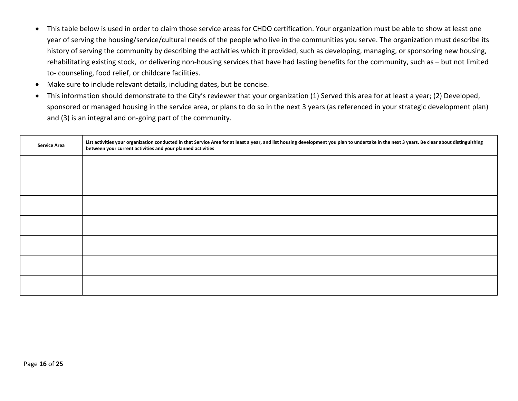- This table below is used in order to claim those service areas for CHDO certification. Your organization must be able to show at least one year of serving the housing/service/cultural needs of the people who live in the communities you serve. The organization must describe its history of serving the community by describing the activities which it provided, such as developing, managing, or sponsoring new housing, rehabilitating existing stock, or delivering non-housing services that have had lasting benefits for the community, such as – but not limited to- counseling, food relief, or childcare facilities.
- Make sure to include relevant details, including dates, but be concise.
- This information should demonstrate to the City's reviewer that your organization (1) Served this area for at least a year; (2) Developed, sponsored or managed housing in the service area, or plans to do so in the next 3 years (as referenced in your strategic development plan) and (3) is an integral and on-going part of the community.

| <b>Service Area</b> | List activities your organization conducted in that Service Area for at least a year, and list housing development you plan to undertake in the next 3 years. Be clear about distinguishing<br>between your current activities and your planned activities |
|---------------------|------------------------------------------------------------------------------------------------------------------------------------------------------------------------------------------------------------------------------------------------------------|
|                     |                                                                                                                                                                                                                                                            |
|                     |                                                                                                                                                                                                                                                            |
|                     |                                                                                                                                                                                                                                                            |
|                     |                                                                                                                                                                                                                                                            |
|                     |                                                                                                                                                                                                                                                            |
|                     |                                                                                                                                                                                                                                                            |
|                     |                                                                                                                                                                                                                                                            |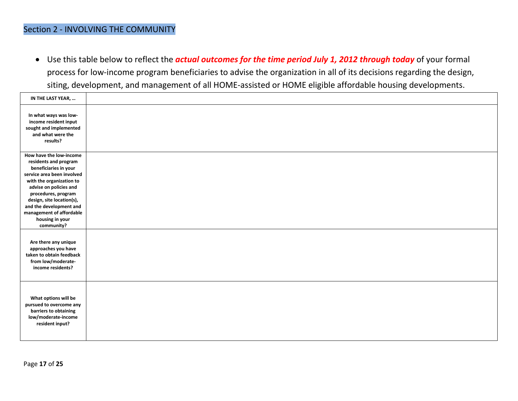### Section 2 - INVOLVING THE COMMUNITY

• Use this table below to reflect the *actual outcomes for the time period July 1, 2012 through today* of your formal process for low-income program beneficiaries to advise the organization in all of its decisions regarding the design, siting, development, and management of all HOME-assisted or HOME eligible affordable housing developments.

<span id="page-16-0"></span>

| IN THE LAST YEAR,                                                                                                                                                                                                                                                                                         |  |
|-----------------------------------------------------------------------------------------------------------------------------------------------------------------------------------------------------------------------------------------------------------------------------------------------------------|--|
| In what ways was low-<br>income resident input<br>sought and implemented<br>and what were the<br>results?                                                                                                                                                                                                 |  |
| How have the low-income<br>residents and program<br>beneficiaries in your<br>service area been involved<br>with the organization to<br>advise on policies and<br>procedures, program<br>design, site location(s),<br>and the development and<br>management of affordable<br>housing in your<br>community? |  |
| Are there any unique<br>approaches you have<br>taken to obtain feedback<br>from low/moderate-<br>income residents?                                                                                                                                                                                        |  |
| What options will be<br>pursued to overcome any<br>barriers to obtaining<br>low/moderate-income<br>resident input?                                                                                                                                                                                        |  |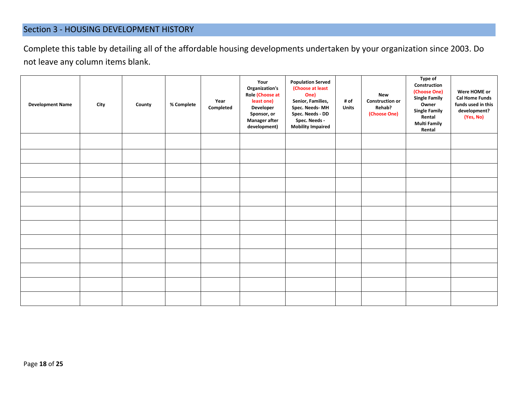### Section 3 - HOUSING DEVELOPMENT HISTORY

Complete this table by detailing all of the affordable housing developments undertaken by your organization since 2003. Do not leave any column items blank.

| <b>Development Name</b> | City | County | % Complete | Year<br>Completed | Your<br>Organization's<br>Role (Choose at<br>least one)<br>Developer<br>Sponsor, or<br><b>Manager after</b><br>development) | <b>Population Served</b><br>(Choose at least<br>One)<br>Senior, Families,<br>Spec. Needs-MH<br>Spec. Needs - DD<br>Spec. Needs -<br><b>Mobility Impaired</b> | # of<br><b>Units</b> | <b>New</b><br><b>Construction or</b><br>Rehab?<br>(Choose One) | Type of<br>Construction<br>(Choose One)<br><b>Single Family</b><br>Owner<br><b>Single Family</b><br>Rental<br><b>Multi Family</b><br>Rental | Were HOME or<br><b>Cal Home Funds</b><br>funds used in this<br>development?<br>(Yes, No) |
|-------------------------|------|--------|------------|-------------------|-----------------------------------------------------------------------------------------------------------------------------|--------------------------------------------------------------------------------------------------------------------------------------------------------------|----------------------|----------------------------------------------------------------|---------------------------------------------------------------------------------------------------------------------------------------------|------------------------------------------------------------------------------------------|
|                         |      |        |            |                   |                                                                                                                             |                                                                                                                                                              |                      |                                                                |                                                                                                                                             |                                                                                          |
|                         |      |        |            |                   |                                                                                                                             |                                                                                                                                                              |                      |                                                                |                                                                                                                                             |                                                                                          |
|                         |      |        |            |                   |                                                                                                                             |                                                                                                                                                              |                      |                                                                |                                                                                                                                             |                                                                                          |
|                         |      |        |            |                   |                                                                                                                             |                                                                                                                                                              |                      |                                                                |                                                                                                                                             |                                                                                          |
|                         |      |        |            |                   |                                                                                                                             |                                                                                                                                                              |                      |                                                                |                                                                                                                                             |                                                                                          |
|                         |      |        |            |                   |                                                                                                                             |                                                                                                                                                              |                      |                                                                |                                                                                                                                             |                                                                                          |
|                         |      |        |            |                   |                                                                                                                             |                                                                                                                                                              |                      |                                                                |                                                                                                                                             |                                                                                          |
|                         |      |        |            |                   |                                                                                                                             |                                                                                                                                                              |                      |                                                                |                                                                                                                                             |                                                                                          |
|                         |      |        |            |                   |                                                                                                                             |                                                                                                                                                              |                      |                                                                |                                                                                                                                             |                                                                                          |
|                         |      |        |            |                   |                                                                                                                             |                                                                                                                                                              |                      |                                                                |                                                                                                                                             |                                                                                          |
|                         |      |        |            |                   |                                                                                                                             |                                                                                                                                                              |                      |                                                                |                                                                                                                                             |                                                                                          |
|                         |      |        |            |                   |                                                                                                                             |                                                                                                                                                              |                      |                                                                |                                                                                                                                             |                                                                                          |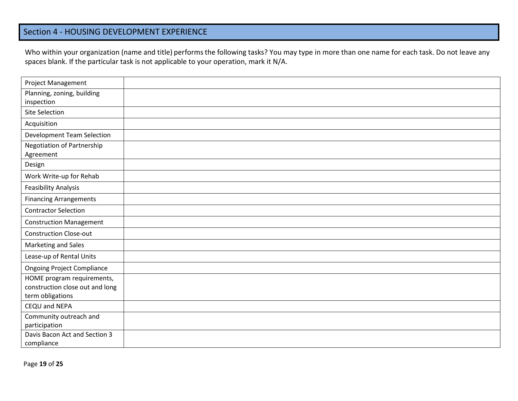### Section 4 - HOUSING DEVELOPMENT EXPERIENCE

Who within your organization (name and title) performs the following tasks? You may type in more than one name for each task. Do not leave any spaces blank. If the particular task is not applicable to your operation, mark it N/A.

<span id="page-18-0"></span>

| Project Management                                  |  |
|-----------------------------------------------------|--|
| Planning, zoning, building<br>inspection            |  |
| Site Selection                                      |  |
| Acquisition                                         |  |
| <b>Development Team Selection</b>                   |  |
| Negotiation of Partnership<br>Agreement             |  |
| Design                                              |  |
| Work Write-up for Rehab                             |  |
| <b>Feasibility Analysis</b>                         |  |
| <b>Financing Arrangements</b>                       |  |
| <b>Contractor Selection</b>                         |  |
| <b>Construction Management</b>                      |  |
| <b>Construction Close-out</b>                       |  |
| Marketing and Sales                                 |  |
| Lease-up of Rental Units                            |  |
| <b>Ongoing Project Compliance</b>                   |  |
| HOME program requirements,                          |  |
| construction close out and long<br>term obligations |  |
| CEQU and NEPA                                       |  |
| Community outreach and                              |  |
| participation                                       |  |
| Davis Bacon Act and Section 3                       |  |
| compliance                                          |  |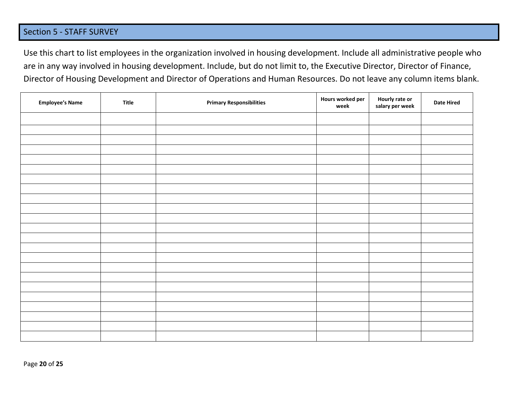### Section 5 - STAFF SURVEY

Use this chart to list employees in the organization involved in housing development. Include all administrative people who are in any way involved in housing development. Include, but do not limit to, the Executive Director, Director of Finance, Director of Housing Development and Director of Operations and Human Resources. Do not leave any column items blank.

<span id="page-19-1"></span><span id="page-19-0"></span>

| <b>Employee's Name</b> | Title | <b>Primary Responsibilities</b> | Hours worked per<br>week | Hourly rate or<br>salary per week | <b>Date Hired</b> |
|------------------------|-------|---------------------------------|--------------------------|-----------------------------------|-------------------|
|                        |       |                                 |                          |                                   |                   |
|                        |       |                                 |                          |                                   |                   |
|                        |       |                                 |                          |                                   |                   |
|                        |       |                                 |                          |                                   |                   |
|                        |       |                                 |                          |                                   |                   |
|                        |       |                                 |                          |                                   |                   |
|                        |       |                                 |                          |                                   |                   |
|                        |       |                                 |                          |                                   |                   |
|                        |       |                                 |                          |                                   |                   |
|                        |       |                                 |                          |                                   |                   |
|                        |       |                                 |                          |                                   |                   |
|                        |       |                                 |                          |                                   |                   |
|                        |       |                                 |                          |                                   |                   |
|                        |       |                                 |                          |                                   |                   |
|                        |       |                                 |                          |                                   |                   |
|                        |       |                                 |                          |                                   |                   |
|                        |       |                                 |                          |                                   |                   |
|                        |       |                                 |                          |                                   |                   |
|                        |       |                                 |                          |                                   |                   |
|                        |       |                                 |                          |                                   |                   |
|                        |       |                                 |                          |                                   |                   |
|                        |       |                                 |                          |                                   |                   |
|                        |       |                                 |                          |                                   |                   |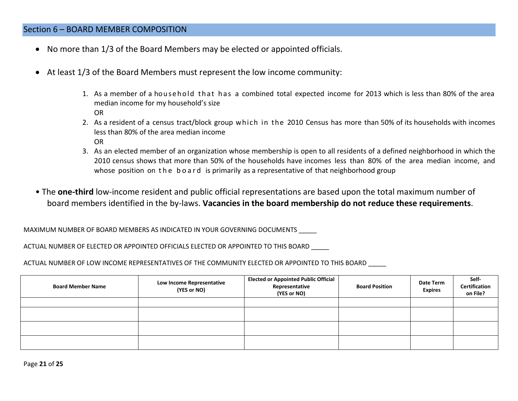### Section 6 – BOARD MEMBER COMPOSITION

- No more than 1/3 of the Board Members may be elected or appointed officials.
- At least 1/3 of the Board Members must represent the low income community:
	- 1. As a member of a household that has a combined total expected income for 2013 which is less than 80% of the area median income for my household's size OR
	- 2. As a resident of a census tract/block group which in the 2010 Census has more than 50% of its households with incomes less than 80% of the area median income OR
	- 3. As an elected member of an organization whose membership is open to all residents of a defined neighborhood in which the 2010 census shows that more than 50% of the households have incomes less than 80% of the area median income, and whose position on the board is primarily as a representative of that neighborhood group
- The **one-third** low-income resident and public official representations are based upon the total maximum number of board members identified in the by-laws. **Vacancies in the board membership do not reduce these requirements**.

MAXIMUM NUMBER OF BOARD MEMBERS AS INDICATED IN YOUR GOVERNING DOCUMENTS \_\_\_\_\_

ACTUAL NUMBER OF ELECTED OR APPOINTED OFFICIALS ELECTED OR APPOINTED TO THIS BOARD \_\_\_\_\_

ACTUAL NUMBER OF LOW INCOME REPRESENTATIVES OF THE COMMUNITY ELECTED OR APPOINTED TO THIS BOARD

| <b>Board Member Name</b> | Low Income Representative<br>(YES or NO) | <b>Elected or Appointed Public Official</b><br>Representative<br>(YES or NO) | <b>Board Position</b> | <b>Date Term</b><br><b>Expires</b> | Self-<br>Certification<br>on File? |
|--------------------------|------------------------------------------|------------------------------------------------------------------------------|-----------------------|------------------------------------|------------------------------------|
|                          |                                          |                                                                              |                       |                                    |                                    |
|                          |                                          |                                                                              |                       |                                    |                                    |
|                          |                                          |                                                                              |                       |                                    |                                    |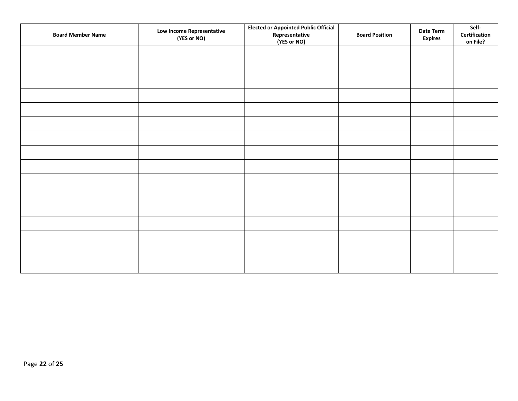| <b>Board Member Name</b> | Low Income Representative<br>(YES or NO) | <b>Elected or Appointed Public Official</b><br>Representative<br>(YES or NO) | <b>Board Position</b> | Date Term<br><b>Expires</b> | Self-<br>Certification<br>on File? |
|--------------------------|------------------------------------------|------------------------------------------------------------------------------|-----------------------|-----------------------------|------------------------------------|
|                          |                                          |                                                                              |                       |                             |                                    |
|                          |                                          |                                                                              |                       |                             |                                    |
|                          |                                          |                                                                              |                       |                             |                                    |
|                          |                                          |                                                                              |                       |                             |                                    |
|                          |                                          |                                                                              |                       |                             |                                    |
|                          |                                          |                                                                              |                       |                             |                                    |
|                          |                                          |                                                                              |                       |                             |                                    |
|                          |                                          |                                                                              |                       |                             |                                    |
|                          |                                          |                                                                              |                       |                             |                                    |
|                          |                                          |                                                                              |                       |                             |                                    |
|                          |                                          |                                                                              |                       |                             |                                    |
|                          |                                          |                                                                              |                       |                             |                                    |
|                          |                                          |                                                                              |                       |                             |                                    |
|                          |                                          |                                                                              |                       |                             |                                    |
|                          |                                          |                                                                              |                       |                             |                                    |
|                          |                                          |                                                                              |                       |                             |                                    |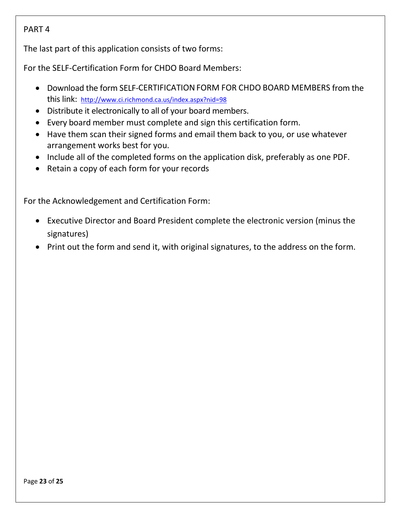### PART 4

The last part of this application consists of two forms:

For the SELF-Certification Form for CHDO Board Members:

- Download the form SELF-CERTIFICATION FORM FOR CHDO BOARD MEMBERS from the this link: <http://www.ci.richmond.ca.us/index.aspx?nid=98>
- Distribute it electronically to all of your board members.
- Every board member must complete and sign this certification form.
- Have them scan their signed forms and email them back to you, or use whatever arrangement works best for you.
- Include all of the completed forms on the application disk, preferably as one PDF.
- Retain a copy of each form for your records

For the Acknowledgement and Certification Form:

- Executive Director and Board President complete the electronic version (minus the signatures)
- Print out the form and send it, with original signatures, to the address on the form.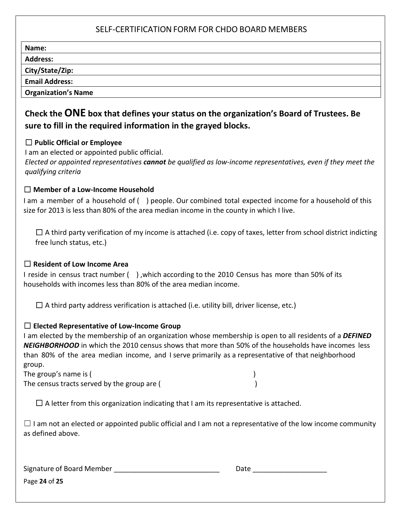### SELF-CERTIFICATION FORM FOR CHDO BOARD MEMBERS

| Name:                      |  |
|----------------------------|--|
| <b>Address:</b>            |  |
| City/State/Zip:            |  |
| <b>Email Address:</b>      |  |
| <b>Organization's Name</b> |  |

### **Check the ONE box that defines your status on the organization's Board of Trustees. Be sure to fill in the required information in the grayed blocks.**

#### ☐ **Public Official or Employee**

I am an elected or appointed public official.

*Elected or appointed representatives cannot be qualified as low-income representatives, even if they meet the qualifying criteria*

#### ☐ **Member of a Low-Income Household**

I am a member of a household of ( ) people. Our combined total expected income for a household of this size for 2013 is less than 80% of the area median income in the county in which I live.

 $\square$  A third party verification of my income is attached (i.e. copy of taxes, letter from school district indicting free lunch status, etc.)

### ☐ **Resident of Low Income Area**

I reside in census tract number ( ) ,which according to the 2010 Census has more than 50% of its households with incomes less than 80% of the area median income.

 $\Box$  A third party address verification is attached (i.e. utility bill, driver license, etc.)

#### ☐ **Elected Representative of Low-Income Group**

I am elected by the membership of an organization whose membership is open to all residents of a *DEFINED NEIGHBORHOOD* in which the 2010 census shows that more than 50% of the households have incomes less than 80% of the area median income, and I serve primarily as a representative of that neighborhood group.

The group's name is ( ) The census tracts served by the group are (

 $\Box$  A letter from this organization indicating that I am its representative is attached.

 $\Box$  I am not an elected or appointed public official and I am not a representative of the low income community as defined above.

Signature of Board Member \_\_\_\_\_\_\_\_\_\_\_\_\_\_\_\_\_\_\_\_\_\_\_\_\_\_\_ Date \_\_\_\_\_\_\_\_\_\_\_\_\_\_\_\_\_\_\_

Page **24** of **25**